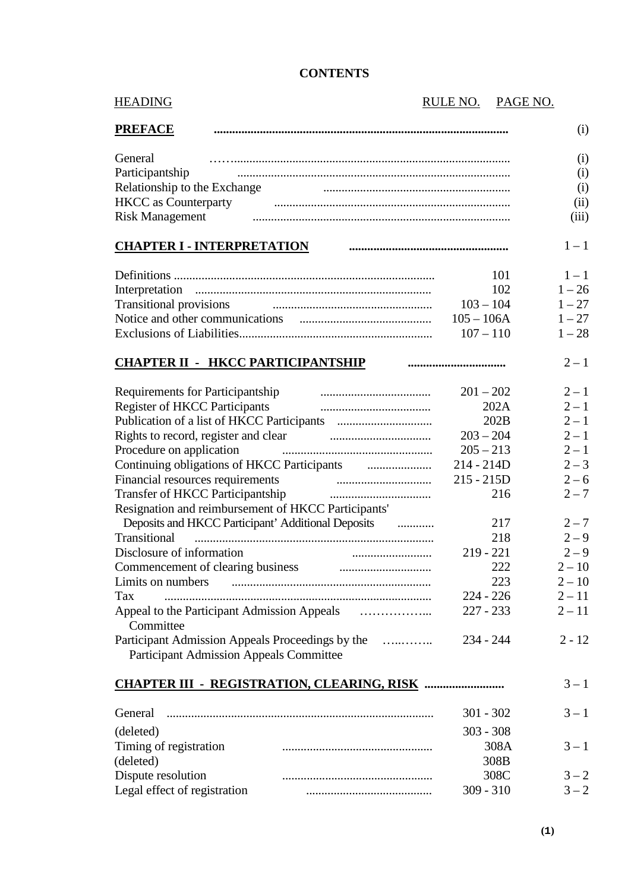| <b>HEADING</b>                                                    | RULE NO.     | PAGE NO. |
|-------------------------------------------------------------------|--------------|----------|
| <b>PREFACE</b>                                                    |              | (i)      |
| General                                                           |              | (i)      |
| Participantship                                                   |              | (i)      |
|                                                                   |              | (i)      |
| HKCC as Counterparty Financial Counterparty                       |              | (ii)     |
| <b>Risk Management</b>                                            |              | (iii)    |
| <b>CHAPTER I - INTERPRETATION</b>                                 |              | $1 - 1$  |
|                                                                   | 101          | $1 - 1$  |
|                                                                   | 102          | $1 - 26$ |
|                                                                   | $103 - 104$  | $1 - 27$ |
|                                                                   | $105 - 106A$ | $1 - 27$ |
|                                                                   | $107 - 110$  | $1 - 28$ |
| <b>CHAPTER II - HKCC PARTICIPANTSHIP</b>                          |              | $2 - 1$  |
| Requirements for Participantship                                  | $201 - 202$  | $2 - 1$  |
| <b>Register of HKCC Participants</b>                              | 202A         | $2 - 1$  |
|                                                                   | 202B         | $2 - 1$  |
| Rights to record, register and clear                              | $203 - 204$  | $2 - 1$  |
| Procedure on application                                          | $205 - 213$  | $2 - 1$  |
|                                                                   | $214 - 214D$ | $2 - 3$  |
| Financial resources requirements                                  | $215 - 215D$ | $2 - 6$  |
| Transfer of HKCC Participantship                                  | 216          | $2 - 7$  |
| Resignation and reimbursement of HKCC Participants'               |              |          |
| Deposits and HKCC Participant' Additional Deposits manufacturers. | 217          | $2 - 7$  |
| Transitional                                                      | 218          | $2 - 9$  |
| Disclosure of information                                         | $219 - 221$  | $2 - 9$  |
| Commencement of clearing business                                 | 222          | $2 - 10$ |
| Limits on numbers                                                 | 223          | $2 - 10$ |
| Tax                                                               | $224 - 226$  | $2 - 11$ |
|                                                                   | $227 - 233$  | $2 - 11$ |
| Committee                                                         |              |          |
| Participant Admission Appeals Proceedings by the                  | $234 - 244$  | $2 - 12$ |
| <b>Participant Admission Appeals Committee</b>                    |              |          |
|                                                                   |              | $3 - 1$  |
|                                                                   |              |          |
| General                                                           | $301 - 302$  | $3 - 1$  |
| (deleted)                                                         | $303 - 308$  |          |
| Timing of registration                                            | 308A         | $3 - 1$  |
| (deleted)                                                         | 308B         |          |
| Dispute resolution                                                | 308C         | $3 - 2$  |
| Legal effect of registration                                      | $309 - 310$  | $3 - 2$  |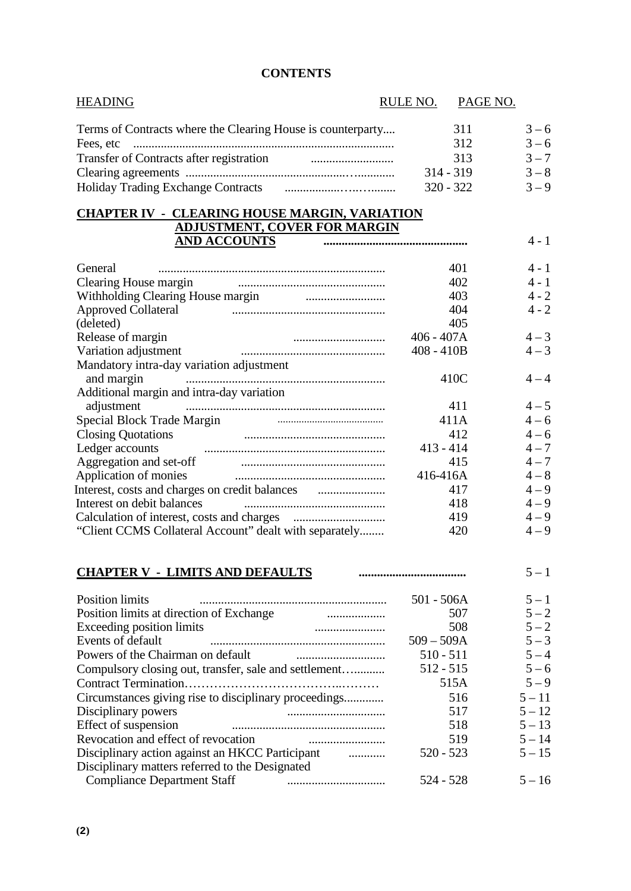| <b>HEADING</b>                                                                                                                                                                                                                       |                                     | RULE NO. PAGE NO. |          |
|--------------------------------------------------------------------------------------------------------------------------------------------------------------------------------------------------------------------------------------|-------------------------------------|-------------------|----------|
| Terms of Contracts where the Clearing House is counterparty                                                                                                                                                                          |                                     | 311               | $3 - 6$  |
|                                                                                                                                                                                                                                      |                                     | 312               | $3 - 6$  |
| Transfer of Contracts after registration <b>Francisco Contracts</b>                                                                                                                                                                  |                                     | 313               | $3 - 7$  |
|                                                                                                                                                                                                                                      |                                     | $314 - 319$       | $3 - 8$  |
|                                                                                                                                                                                                                                      |                                     | $320 - 322$       | $3 - 9$  |
|                                                                                                                                                                                                                                      |                                     |                   |          |
| <b>CHAPTER IV - CLEARING HOUSE MARGIN, VARIATION</b>                                                                                                                                                                                 |                                     |                   |          |
| <u>AND ACCOUNTS</u>                                                                                                                                                                                                                  | <b>ADJUSTMENT, COVER FOR MARGIN</b> |                   |          |
| General                                                                                                                                                                                                                              |                                     |                   | $4 - 1$  |
|                                                                                                                                                                                                                                      |                                     | 401<br>402        | $4 - 1$  |
|                                                                                                                                                                                                                                      |                                     |                   | $4 - 2$  |
| Withholding Clearing House margin <b>Constanting</b>                                                                                                                                                                                 |                                     | 403               |          |
| <b>Approved Collateral</b>                                                                                                                                                                                                           |                                     | 404               | $4 - 2$  |
| (deleted)                                                                                                                                                                                                                            |                                     | 405               |          |
| Release of margin                                                                                                                                                                                                                    | $406 - 407A$                        |                   | $4 - 3$  |
| Variation adjustment                                                                                                                                                                                                                 | $408 - 410B$                        |                   | $4 - 3$  |
| Mandatory intra-day variation adjustment                                                                                                                                                                                             |                                     |                   | $4 - 4$  |
| and margin                                                                                                                                                                                                                           |                                     | 410C              |          |
| Additional margin and intra-day variation                                                                                                                                                                                            |                                     |                   |          |
| adjustment                                                                                                                                                                                                                           |                                     | 411               | $4 - 5$  |
| Special Block Trade Margin <b>Constructs</b> Constructs and Special Block Trade Margin                                                                                                                                               |                                     | 411A              | $4 - 6$  |
| Closing Quotations<br>Ledger accounts                                                                                                                                                                                                |                                     | 412               | $4 - 6$  |
|                                                                                                                                                                                                                                      | $413 - 414$                         |                   | $4 - 7$  |
| Aggregation and set-off <b>contained a set of the contract of the set of the set of the set of the set of the set of the set of the set of the set of the set of the set of the set of the set of the set of the set of the set </b> |                                     | 415               | $4 - 7$  |
| Application of monies                                                                                                                                                                                                                | 416-416A                            |                   | $4 - 8$  |
|                                                                                                                                                                                                                                      |                                     | 417               | $4 - 9$  |
| Interest on debit balances                                                                                                                                                                                                           |                                     | 418               | $4 - 9$  |
|                                                                                                                                                                                                                                      |                                     | 419               | $4 - 9$  |
| "Client CCMS Collateral Account" dealt with separately                                                                                                                                                                               |                                     | 420               | $4 - 9$  |
| <b>CHAPTER V - LIMITS AND DEFAULTS</b>                                                                                                                                                                                               |                                     |                   | $5 - 1$  |
|                                                                                                                                                                                                                                      |                                     |                   |          |
| <b>Position limits</b>                                                                                                                                                                                                               | $501 - 506A$                        |                   | $5 - 1$  |
| Position limits at direction of Exchange<br>.                                                                                                                                                                                        |                                     | 507               | $5 - 2$  |
| Exceeding position limits<br><u> 1990 - Januari Samuel III.a (j. 1910)</u>                                                                                                                                                           |                                     | 508               | $5 - 2$  |
| Events of default                                                                                                                                                                                                                    | $509 - 509A$                        |                   | $5 - 3$  |
|                                                                                                                                                                                                                                      | $510 - 511$                         |                   | $5 - 4$  |
| Compulsory closing out, transfer, sale and settlement                                                                                                                                                                                | $512 - 515$                         |                   | $5 - 6$  |
|                                                                                                                                                                                                                                      |                                     | 515A              | $5 - 9$  |
| Circumstances giving rise to disciplinary proceedings                                                                                                                                                                                |                                     | 516               | $5 - 11$ |
| Disciplinary powers                                                                                                                                                                                                                  |                                     | 517               | $5 - 12$ |
| Effect of suspension                                                                                                                                                                                                                 |                                     | 518               | $5 - 13$ |
| Revocation and effect of revocation                                                                                                                                                                                                  |                                     | 519               | $5 - 14$ |
| Disciplinary action against an HKCC Participant                                                                                                                                                                                      | $520 - 523$                         |                   | $5 - 15$ |
| Disciplinary matters referred to the Designated<br><b>Compliance Department Staff</b>                                                                                                                                                | 524 - 528                           |                   | $5 - 16$ |
|                                                                                                                                                                                                                                      |                                     |                   |          |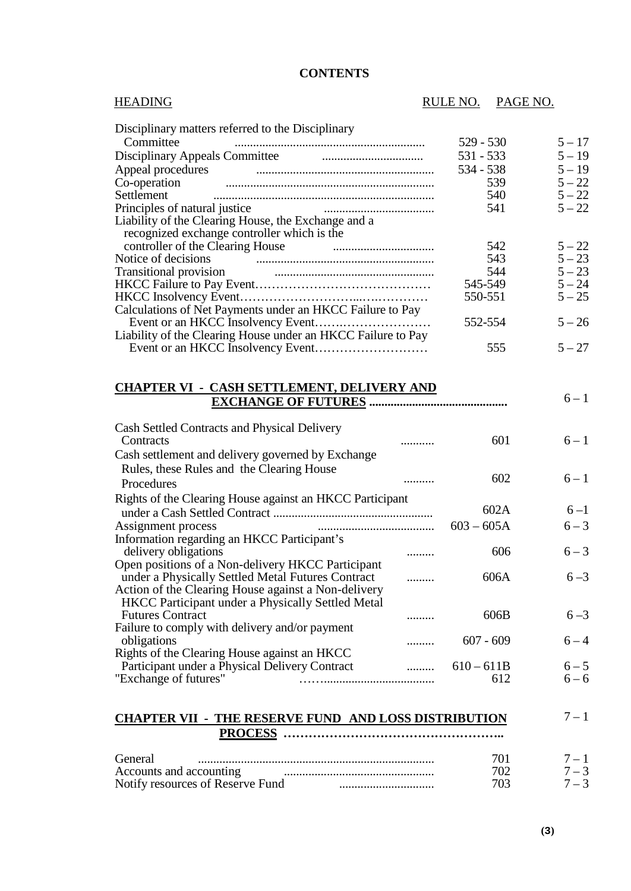| <b>HEADING</b>                                                                                                                                                                                                                     | RULE NO.     | PAGE NO. |          |
|------------------------------------------------------------------------------------------------------------------------------------------------------------------------------------------------------------------------------------|--------------|----------|----------|
| Disciplinary matters referred to the Disciplinary                                                                                                                                                                                  |              |          |          |
| Committee                                                                                                                                                                                                                          | $529 - 530$  |          | $5 - 17$ |
| Disciplinary Appeals Committee <b>Committee Committee Committee Committee</b>                                                                                                                                                      | 531 - 533    |          | $5 - 19$ |
|                                                                                                                                                                                                                                    |              |          |          |
| Appeal procedures <b>contained a manufacturer and a manufacturer</b> and a manufacturer and a manufacturer and a manufacturer and a manufacturer and a manufacturer and a manufacturer and a manufacturer and a manufacturer and a | 534 - 538    |          | $5 - 19$ |
|                                                                                                                                                                                                                                    |              | 539      | $5 - 22$ |
| Settlement                                                                                                                                                                                                                         |              | 540      | $5 - 22$ |
| Principles of natural justice                                                                                                                                                                                                      |              | 541      | $5 - 22$ |
| Liability of the Clearing House, the Exchange and a                                                                                                                                                                                |              |          |          |
| recognized exchange controller which is the                                                                                                                                                                                        |              |          | $5 - 22$ |
|                                                                                                                                                                                                                                    |              | 542      | $5 - 23$ |
| Notice of decisions                                                                                                                                                                                                                |              | 543      | $5 - 23$ |
|                                                                                                                                                                                                                                    |              | 544      | $5 - 24$ |
|                                                                                                                                                                                                                                    | 545-549      |          | $5 - 25$ |
|                                                                                                                                                                                                                                    | 550-551      |          |          |
| Calculations of Net Payments under an HKCC Failure to Pay                                                                                                                                                                          |              |          | $5 - 26$ |
|                                                                                                                                                                                                                                    | 552-554      |          |          |
| Liability of the Clearing House under an HKCC Failure to Pay                                                                                                                                                                       |              |          | $5 - 27$ |
|                                                                                                                                                                                                                                    |              | 555      |          |
| <b>CHAPTER VI - CASH SETTLEMENT, DELIVERY AND</b>                                                                                                                                                                                  |              |          | $6 - 1$  |
| Cash Settled Contracts and Physical Delivery                                                                                                                                                                                       |              |          |          |
| Contracts                                                                                                                                                                                                                          |              | 601      | $6 - 1$  |
|                                                                                                                                                                                                                                    |              |          |          |
| Cash settlement and delivery governed by Exchange                                                                                                                                                                                  |              |          |          |
| Rules, these Rules and the Clearing House<br>                                                                                                                                                                                      |              | 602      | $6 - 1$  |
| Procedures                                                                                                                                                                                                                         |              |          |          |
| Rights of the Clearing House against an HKCC Participant                                                                                                                                                                           |              |          |          |
|                                                                                                                                                                                                                                    |              | 602A     | $6 - 1$  |
| Assignment process                                                                                                                                                                                                                 | $603 - 605A$ |          | $6 - 3$  |
| Information regarding an HKCC Participant's                                                                                                                                                                                        |              |          |          |
| delivery obligations<br>                                                                                                                                                                                                           |              | 606      | $6 - 3$  |
| Open positions of a Non-delivery HKCC Participant                                                                                                                                                                                  |              |          |          |
| under a Physically Settled Metal Futures Contract<br>.                                                                                                                                                                             |              | 606A     | $6 - 3$  |
| Action of the Clearing House against a Non-delivery                                                                                                                                                                                |              |          |          |
| HKCC Participant under a Physically Settled Metal                                                                                                                                                                                  |              |          |          |
| <b>Futures Contract</b><br>                                                                                                                                                                                                        |              | 606B     | $6 - 3$  |
| Failure to comply with delivery and/or payment                                                                                                                                                                                     |              |          |          |
| obligations<br>                                                                                                                                                                                                                    | $607 - 609$  |          | $6 - 4$  |
| Rights of the Clearing House against an HKCC                                                                                                                                                                                       |              |          |          |
| Participant under a Physical Delivery Contract<br>.                                                                                                                                                                                | $610 - 611B$ |          | $6 - 5$  |
| "Exchange of futures"                                                                                                                                                                                                              |              | 612      | $6 - 6$  |
|                                                                                                                                                                                                                                    |              |          |          |
|                                                                                                                                                                                                                                    |              |          |          |
| <u>CHAPTER VII - THE RESERVE FUND AND LOSS DISTRIBUTION</u>                                                                                                                                                                        |              |          | $7 - 1$  |
|                                                                                                                                                                                                                                    |              |          |          |
| General                                                                                                                                                                                                                            |              | 701      | $7 - 1$  |
|                                                                                                                                                                                                                                    |              | 702      | $7 - 3$  |
|                                                                                                                                                                                                                                    |              |          |          |

Notify resources of Reserve Fund ............................... 703 7 – 3